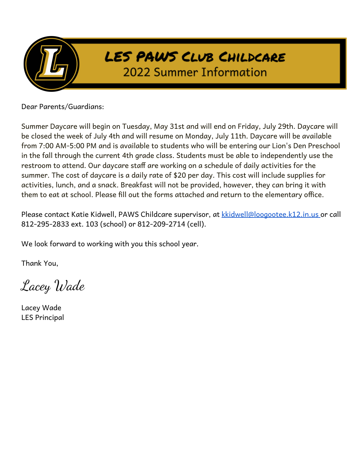

Dear Parents/Guardians:

Summer Daycare will begin on Tuesday, May 31st and will end on Friday, July 29th. Daycare will be closed the week of July 4th and will resume on Monday, July 11th. Daycare will be available from 7:00 AM-5:00 PM and is available to students who will be entering our Lion's Den Preschool in the fall through the current 4th grade class. Students must be able to independently use the restroom to attend. Our daycare staff are working on a schedule of daily activities for the summer. The cost of daycare is a daily rate of \$20 per day. This cost will include supplies for activities, lunch, and a snack. Breakfast will not be provided, however, they can bring it with them to eat at school. Please fill out the forms attached and return to the elementary office.

Please contact Katie Kidwell, PAWS Childcare supervisor, at [kkidwell@loogootee.k12.in.us](mailto:spowell@loogootee.k12.in.us) or call 812-295-2833 ext. 103 (school) or 812-209-2714 (cell).

We look forward to working with you this school year.

Thank You,

Lacey Wade

Lacey Wade LES Principal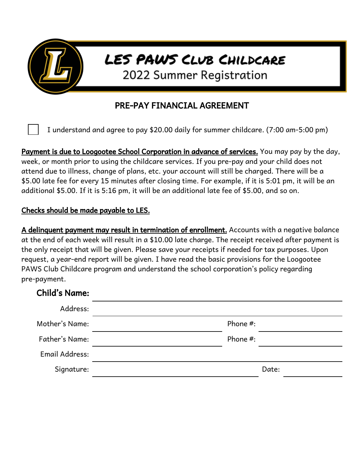

## PRE-PAY FINANCIAL AGREEMENT

I understand and agree to pay \$20.00 daily for summer childcare. (7:00 am-5:00 pm)

Payment is due to Loogootee School Corporation in advance of services. You may pay by the day, week, or month prior to using the childcare services. If you pre-pay and your child does not attend due to illness, change of plans, etc. your account will still be charged. There will be a \$5.00 late fee for every 15 minutes after closing time. For example, if it is 5:01 pm, it will be an additional \$5.00. If it is 5:16 pm, it will be an additional late fee of \$5.00, and so on.

## Checks should be made payable to LES.

A delinquent payment may result in termination of enrollment. Accounts with a negative balance at the end of each week will result in a \$10.00 late charge. The receipt received after payment is the only receipt that will be given. Please save your receipts if needed for tax purposes. Upon request, a year-end report will be given. I have read the basic provisions for the Loogootee PAWS Club Childcare program and understand the school corporation's policy regarding pre-payment.

| <b>Child's Name:</b> |          |
|----------------------|----------|
| Address:             |          |
| Mother's Name:       | Phone #: |
| Father's Name:       | Phone #: |
| Email Address:       |          |
| Signature:           | Date:    |